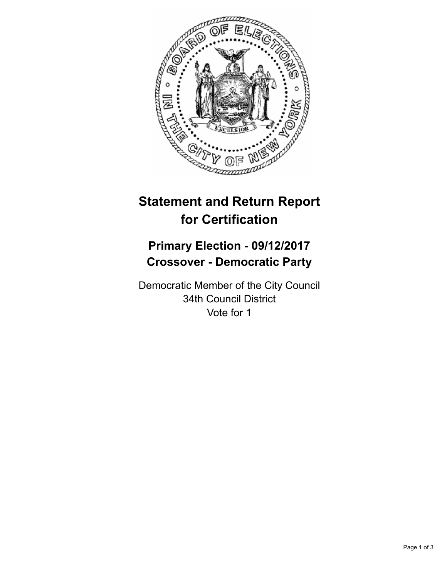

# **Statement and Return Report for Certification**

# **Primary Election - 09/12/2017 Crossover - Democratic Party**

Democratic Member of the City Council 34th Council District Vote for 1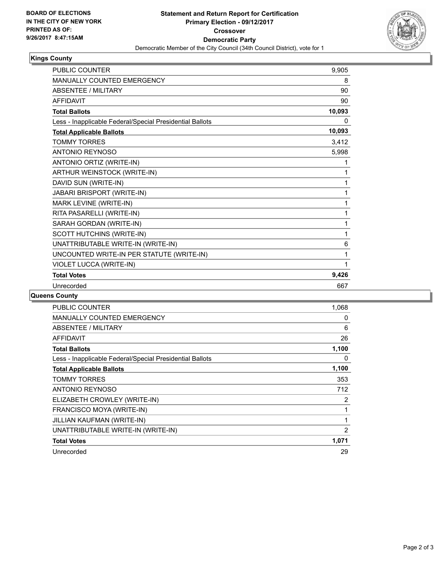

## **Kings County**

| <b>PUBLIC COUNTER</b>                                    | 9,905  |
|----------------------------------------------------------|--------|
| <b>MANUALLY COUNTED EMERGENCY</b>                        | 8      |
| <b>ABSENTEE / MILITARY</b>                               | 90     |
| <b>AFFIDAVIT</b>                                         | 90     |
| <b>Total Ballots</b>                                     | 10,093 |
| Less - Inapplicable Federal/Special Presidential Ballots | 0      |
| <b>Total Applicable Ballots</b>                          | 10,093 |
| <b>TOMMY TORRES</b>                                      | 3,412  |
| <b>ANTONIO REYNOSO</b>                                   | 5,998  |
| ANTONIO ORTIZ (WRITE-IN)                                 | 1      |
| ARTHUR WEINSTOCK (WRITE-IN)                              | 1      |
| DAVID SUN (WRITE-IN)                                     | 1      |
| JABARI BRISPORT (WRITE-IN)                               | 1      |
| MARK LEVINE (WRITE-IN)                                   | 1      |
| RITA PASARELLI (WRITE-IN)                                | 1      |
| SARAH GORDAN (WRITE-IN)                                  | 1      |
| SCOTT HUTCHINS (WRITE-IN)                                | 1      |
| UNATTRIBUTABLE WRITE-IN (WRITE-IN)                       | 6      |
| UNCOUNTED WRITE-IN PER STATUTE (WRITE-IN)                | 1      |
| VIOLET LUCCA (WRITE-IN)                                  | 1      |
| <b>Total Votes</b>                                       | 9,426  |
| Unrecorded                                               | 667    |

### **Queens County**

| <b>PUBLIC COUNTER</b>                                    | 1,068          |
|----------------------------------------------------------|----------------|
| <b>MANUALLY COUNTED EMERGENCY</b>                        | 0              |
| ABSENTEE / MILITARY                                      | 6              |
| AFFIDAVIT                                                | 26             |
| <b>Total Ballots</b>                                     | 1,100          |
| Less - Inapplicable Federal/Special Presidential Ballots | 0              |
| <b>Total Applicable Ballots</b>                          | 1,100          |
| <b>TOMMY TORRES</b>                                      | 353            |
| <b>ANTONIO REYNOSO</b>                                   | 712            |
| ELIZABETH CROWLEY (WRITE-IN)                             | $\overline{2}$ |
| FRANCISCO MOYA (WRITE-IN)                                | 1              |
| JILLIAN KAUFMAN (WRITE-IN)                               | 1              |
| UNATTRIBUTABLE WRITE-IN (WRITE-IN)                       | $\overline{2}$ |
| <b>Total Votes</b>                                       | 1,071          |
| Unrecorded                                               | 29             |